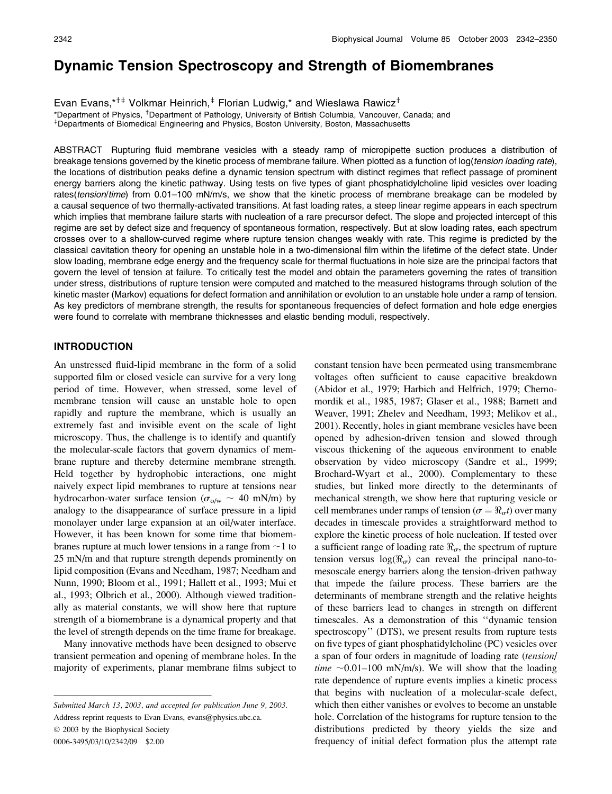# Dynamic Tension Spectroscopy and Strength of Biomembranes

Evan Evans,\*<sup>†‡</sup> Volkmar Heinrich, $\dagger$  Florian Ludwig,\* and Wieslawa Rawicz<sup>†</sup>

\*Department of Physics, <sup>†</sup>Department of Pathology, University of British Columbia, Vancouver, Canada; and <sup>+</sup>Departments of Biomedical Engineering and Physics, Boston University, Boston, Massachusetts

ABSTRACT Rupturing fluid membrane vesicles with a steady ramp of micropipette suction produces a distribution of breakage tensions governed by the kinetic process of membrane failure. When plotted as a function of log(tension loading rate), the locations of distribution peaks define a dynamic tension spectrum with distinct regimes that reflect passage of prominent energy barriers along the kinetic pathway. Using tests on five types of giant phosphatidylcholine lipid vesicles over loading rates(tension/time) from 0.01–100 mN/m/s, we show that the kinetic process of membrane breakage can be modeled by a causal sequence of two thermally-activated transitions. At fast loading rates, a steep linear regime appears in each spectrum which implies that membrane failure starts with nucleation of a rare precursor defect. The slope and projected intercept of this regime are set by defect size and frequency of spontaneous formation, respectively. But at slow loading rates, each spectrum crosses over to a shallow-curved regime where rupture tension changes weakly with rate. This regime is predicted by the classical cavitation theory for opening an unstable hole in a two-dimensional film within the lifetime of the defect state. Under slow loading, membrane edge energy and the frequency scale for thermal fluctuations in hole size are the principal factors that govern the level of tension at failure. To critically test the model and obtain the parameters governing the rates of transition under stress, distributions of rupture tension were computed and matched to the measured histograms through solution of the kinetic master (Markov) equations for defect formation and annihilation or evolution to an unstable hole under a ramp of tension. As key predictors of membrane strength, the results for spontaneous frequencies of defect formation and hole edge energies were found to correlate with membrane thicknesses and elastic bending moduli, respectively.

# INTRODUCTION

An unstressed fluid-lipid membrane in the form of a solid supported film or closed vesicle can survive for a very long period of time. However, when stressed, some level of membrane tension will cause an unstable hole to open rapidly and rupture the membrane, which is usually an extremely fast and invisible event on the scale of light microscopy. Thus, the challenge is to identify and quantify the molecular-scale factors that govern dynamics of membrane rupture and thereby determine membrane strength. Held together by hydrophobic interactions, one might naively expect lipid membranes to rupture at tensions near hydrocarbon-water surface tension ( $\sigma_{\text{o/w}} \sim 40 \text{ mN/m}$ ) by analogy to the disappearance of surface pressure in a lipid monolayer under large expansion at an oil/water interface. However, it has been known for some time that biomembranes rupture at much lower tensions in a range from  $\sim$ 1 to 25 mN/m and that rupture strength depends prominently on lipid composition (Evans and Needham, 1987; Needham and Nunn, 1990; Bloom et al., 1991; Hallett et al., 1993; Mui et al., 1993; Olbrich et al., 2000). Although viewed traditionally as material constants, we will show here that rupture strength of a biomembrane is a dynamical property and that the level of strength depends on the time frame for breakage.

Many innovative methods have been designed to observe transient permeation and opening of membrane holes. In the majority of experiments, planar membrane films subject to

Address reprint requests to Evan Evans, evans@physics.ubc.ca.

 $© 2003$  by the Biophysical Society

0006-3495/03/10/2342/09 \$2.00

constant tension have been permeated using transmembrane voltages often sufficient to cause capacitive breakdown (Abidor et al., 1979; Harbich and Helfrich, 1979; Chernomordik et al., 1985, 1987; Glaser et al., 1988; Barnett and Weaver, 1991; Zhelev and Needham, 1993; Melikov et al., 2001). Recently, holes in giant membrane vesicles have been opened by adhesion-driven tension and slowed through viscous thickening of the aqueous environment to enable observation by video microscopy (Sandre et al., 1999; Brochard-Wyart et al., 2000). Complementary to these studies, but linked more directly to the determinants of mechanical strength, we show here that rupturing vesicle or cell membranes under ramps of tension ( $\sigma = \Re_{\sigma} t$ ) over many decades in timescale provides a straightforward method to explore the kinetic process of hole nucleation. If tested over a sufficient range of loading rate  $\Re_{\alpha}$ , the spectrum of rupture tension versus  $log(\Re_{\sigma})$  can reveal the principal nano-tomesoscale energy barriers along the tension-driven pathway that impede the failure process. These barriers are the determinants of membrane strength and the relative heights of these barriers lead to changes in strength on different timescales. As a demonstration of this ''dynamic tension spectroscopy'' (DTS), we present results from rupture tests on five types of giant phosphatidylcholine (PC) vesicles over a span of four orders in magnitude of loading rate (tension/ time  $\sim$ 0.01–100 mN/m/s). We will show that the loading rate dependence of rupture events implies a kinetic process that begins with nucleation of a molecular-scale defect, which then either vanishes or evolves to become an unstable hole. Correlation of the histograms for rupture tension to the distributions predicted by theory yields the size and frequency of initial defect formation plus the attempt rate

Submitted March 13, 2003, and accepted for publication June 9, 2003.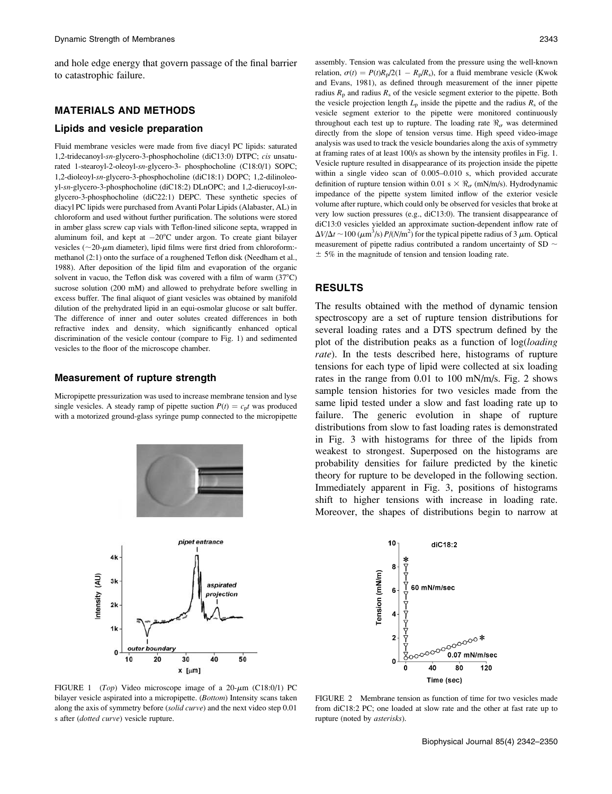and hole edge energy that govern passage of the final barrier to catastrophic failure.

## MATERIALS AND METHODS

#### Lipids and vesicle preparation

Fluid membrane vesicles were made from five diacyl PC lipids: saturated 1,2-tridecanoyl-sn-glycero-3-phosphocholine (diC13:0) DTPC; cis unsaturated 1-stearoyl-2-oleoyl-sn-glycero-3- phosphocholine (C18:0/1) SOPC; 1,2-dioleoyl-sn-glycero-3-phosphocholine (diC18:1) DOPC; 1,2-dilinoleoyl-sn-glycero-3-phosphocholine (diC18:2) DLnOPC; and 1,2-dierucoyl-snglycero-3-phosphocholine (diC22:1) DEPC. These synthetic species of diacyl PC lipids were purchased from Avanti Polar Lipids (Alabaster, AL) in chloroform and used without further purification. The solutions were stored in amber glass screw cap vials with Teflon-lined silicone septa, wrapped in aluminum foil, and kept at  $-20^{\circ}$ C under argon. To create giant bilayer<br>vericles  $(20 \text{ nm}$  diameter) linid films were first dried from chloroform: vesicles ( $\sim$ 20- $\mu$ m diameter), lipid films were first dried from chloroform:methanol (2:1) onto the surface of a roughened Teflon disk (Needham et al., 1988). After deposition of the lipid film and evaporation of the organic solvent in vacuo, the Teflon disk was covered with a film of warm  $(37^{\circ}C)$ sucrose solution (200 mM) and allowed to prehydrate before swelling in excess buffer. The final aliquot of giant vesicles was obtained by manifold dilution of the prehydrated lipid in an equi-osmolar glucose or salt buffer. The difference of inner and outer solutes created differences in both refractive index and density, which significantly enhanced optical discrimination of the vesicle contour (compare to Fig. 1) and sedimented vesicles to the floor of the microscope chamber.

#### Measurement of rupture strength

Micropipette pressurization was used to increase membrane tension and lyse single vesicles. A steady ramp of pipette suction  $P(t) = c_p t$  was produced with a motorized ground-glass syringe pump connected to the micropipette



assembly. Tension was calculated from the pressure using the well-known relation,  $\sigma(t) = P(t)R_p/2(1 - R_p/R_s)$ , for a fluid membrane vesicle (Kwok and Evans, 1981), as defined through measurement of the inner pipette radius  $R_p$  and radius  $R_s$  of the vesicle segment exterior to the pipette. Both the vesicle projection length  $L_p$  inside the pipette and the radius  $R_s$  of the vesicle segment exterior to the pipette were monitored continuously throughout each test up to rupture. The loading rate  $\Re_{\sigma}$  was determined directly from the slope of tension versus time. High speed video-image analysis was used to track the vesicle boundaries along the axis of symmetry at framing rates of at least 100/s as shown by the intensity profiles in Fig. 1. Vesicle rupture resulted in disappearance of its projection inside the pipette within a single video scan of 0.005–0.010 s, which provided accurate definition of rupture tension within 0.01 s  $\times \mathcal{R}_{\sigma}$  (mN/m/s). Hydrodynamic impedance of the pipette system limited inflow of the exterior vesicle volume after rupture, which could only be observed for vesicles that broke at very low suction pressures (e.g., diC13:0). The transient disappearance of diC13:0 vesicles yielded an approximate suction-dependent inflow rate of  $\Delta V/\Delta t \sim 100 \ (\mu \text{m}^3/\text{s}) P/(N/\text{m}^2)$  for the typical pipette radius of 3  $\mu$ m. Optical measurement of pipette radius contributed a random uncertainty of SD  $\sim$  $\pm$  5% in the magnitude of tension and tension loading rate.

## RESULTS

The results obtained with the method of dynamic tension spectroscopy are a set of rupture tension distributions for several loading rates and a DTS spectrum defined by the plot of the distribution peaks as a function of log(loading rate). In the tests described here, histograms of rupture tensions for each type of lipid were collected at six loading rates in the range from 0.01 to 100 mN/m/s. Fig. 2 shows sample tension histories for two vesicles made from the same lipid tested under a slow and fast loading rate up to failure. The generic evolution in shape of rupture distributions from slow to fast loading rates is demonstrated in Fig. 3 with histograms for three of the lipids from weakest to strongest. Superposed on the histograms are probability densities for failure predicted by the kinetic theory for rupture to be developed in the following section. Immediately apparent in Fig. 3, positions of histograms shift to higher tensions with increase in loading rate. Moreover, the shapes of distributions begin to narrow at



FIGURE 1 (Top) Video microscope image of a  $20$ - $\mu$ m (C18:0/1) PC bilayer vesicle aspirated into a micropipette. (Bottom) Intensity scans taken along the axis of symmetry before (solid curve) and the next video step 0.01 s after (dotted curve) vesicle rupture.

FIGURE 2 Membrane tension as function of time for two vesicles made from diC18:2 PC; one loaded at slow rate and the other at fast rate up to rupture (noted by asterisks).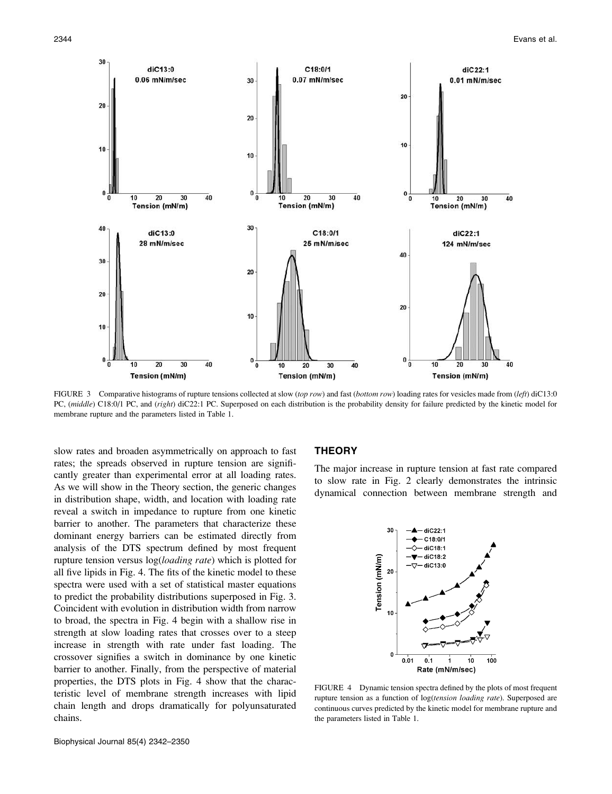

FIGURE 3 Comparative histograms of rupture tensions collected at slow (top row) and fast (bottom row) loading rates for vesicles made from (left) diC13:0 PC, (middle) C18:0/1 PC, and (right) diC22:1 PC. Superposed on each distribution is the probability density for failure predicted by the kinetic model for membrane rupture and the parameters listed in Table 1.

slow rates and broaden asymmetrically on approach to fast rates; the spreads observed in rupture tension are significantly greater than experimental error at all loading rates. As we will show in the Theory section, the generic changes in distribution shape, width, and location with loading rate reveal a switch in impedance to rupture from one kinetic barrier to another. The parameters that characterize these dominant energy barriers can be estimated directly from analysis of the DTS spectrum defined by most frequent rupture tension versus  $log(log{d}$  *rate*) which is plotted for all five lipids in Fig. 4. The fits of the kinetic model to these spectra were used with a set of statistical master equations to predict the probability distributions superposed in Fig. 3. Coincident with evolution in distribution width from narrow to broad, the spectra in Fig. 4 begin with a shallow rise in strength at slow loading rates that crosses over to a steep increase in strength with rate under fast loading. The crossover signifies a switch in dominance by one kinetic barrier to another. Finally, from the perspective of material properties, the DTS plots in Fig. 4 show that the characteristic level of membrane strength increases with lipid chain length and drops dramatically for polyunsaturated chains.

# **THEORY**

The major increase in rupture tension at fast rate compared to slow rate in Fig. 2 clearly demonstrates the intrinsic dynamical connection between membrane strength and



FIGURE 4 Dynamic tension spectra defined by the plots of most frequent rupture tension as a function of log(tension loading rate). Superposed are continuous curves predicted by the kinetic model for membrane rupture and the parameters listed in Table 1.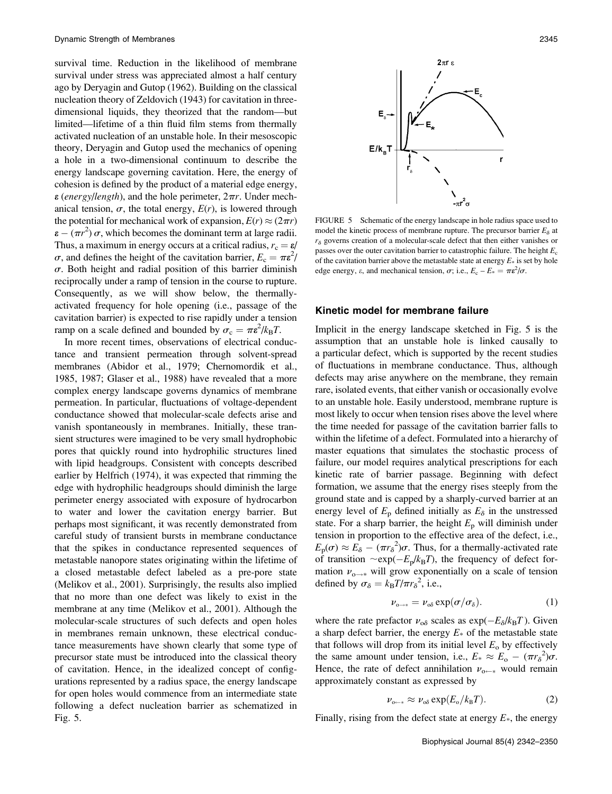survival time. Reduction in the likelihood of membrane survival under stress was appreciated almost a half century ago by Deryagin and Gutop (1962). Building on the classical nucleation theory of Zeldovich (1943) for cavitation in threedimensional liquids, they theorized that the random—but limited—lifetime of a thin fluid film stems from thermally activated nucleation of an unstable hole. In their mesoscopic theory, Deryagin and Gutop used the mechanics of opening a hole in a two-dimensional continuum to describe the energy landscape governing cavitation. Here, the energy of cohesion is defined by the product of a material edge energy,  $\varepsilon$  (energy/length), and the hole perimeter,  $2\pi r$ . Under mechanical tension,  $\sigma$ , the total energy,  $E(r)$ , is lowered through the potential for mechanical work of expansion,  $E(r) \approx (2\pi r)$  $\varepsilon - (\pi r^2) \sigma$ , which becomes the dominant term at large radii.<br>Thus, a maximum in energy occurs at a critical radius  $r = \varepsilon$ Thus, a maximum in energy occurs at a critical radius,  $r_c = \varepsilon$ /  $\sigma$ , and defines the height of the cavitation barrier,  $E_c = \pi \epsilon^2 / \sigma$ .<br>Both height and radial position of this barrier diminish  $\sigma$ . Both height and radial position of this barrier diminish reciprocally under a ramp of tension in the course to rupture. Consequently, as we will show below, the thermallyactivated frequency for hole opening (i.e., passage of the cavitation barrier) is expected to rise rapidly under a tension ramp on a scale defined and bounded by  $\sigma_c = \pi \epsilon^2 / k_B T$ .<br>In more recent times, observations of electrical conc

In more recent times, observations of electrical conductance and transient permeation through solvent-spread membranes (Abidor et al., 1979; Chernomordik et al., 1985, 1987; Glaser et al., 1988) have revealed that a more complex energy landscape governs dynamics of membrane permeation. In particular, fluctuations of voltage-dependent conductance showed that molecular-scale defects arise and vanish spontaneously in membranes. Initially, these transient structures were imagined to be very small hydrophobic pores that quickly round into hydrophilic structures lined with lipid headgroups. Consistent with concepts described earlier by Helfrich (1974), it was expected that rimming the edge with hydrophilic headgroups should diminish the large perimeter energy associated with exposure of hydrocarbon to water and lower the cavitation energy barrier. But perhaps most significant, it was recently demonstrated from careful study of transient bursts in membrane conductance that the spikes in conductance represented sequences of metastable nanopore states originating within the lifetime of a closed metastable defect labeled as a pre-pore state (Melikov et al., 2001). Surprisingly, the results also implied that no more than one defect was likely to exist in the membrane at any time (Melikov et al., 2001). Although the molecular-scale structures of such defects and open holes in membranes remain unknown, these electrical conductance measurements have shown clearly that some type of precursor state must be introduced into the classical theory of cavitation. Hence, in the idealized concept of configurations represented by a radius space, the energy landscape for open holes would commence from an intermediate state following a defect nucleation barrier as schematized in Fig. 5.



FIGURE 5 Schematic of the energy landscape in hole radius space used to model the kinetic process of membrane rupture. The precursor barrier  $E_8$  at  $r_{\delta}$  governs creation of a molecular-scale defect that then either vanishes or passes over the outer cavitation barrier to catastrophic failure. The height  $E_c$ of the cavitation barrier above the metastable state at energy  $E_*$  is set by hole edge energy,  $\varepsilon$ , and mechanical tension,  $\sigma$ ; i.e.,  $E_c - E_* = \pi \varepsilon^2 / \sigma$ .

## Kinetic model for membrane failure

Implicit in the energy landscape sketched in Fig. 5 is the assumption that an unstable hole is linked causally to a particular defect, which is supported by the recent studies of fluctuations in membrane conductance. Thus, although defects may arise anywhere on the membrane, they remain rare, isolated events, that either vanish or occasionally evolve to an unstable hole. Easily understood, membrane rupture is most likely to occur when tension rises above the level where the time needed for passage of the cavitation barrier falls to within the lifetime of a defect. Formulated into a hierarchy of master equations that simulates the stochastic process of failure, our model requires analytical prescriptions for each kinetic rate of barrier passage. Beginning with defect formation, we assume that the energy rises steeply from the ground state and is capped by a sharply-curved barrier at an energy level of  $E_p$  defined initially as  $E_{\delta}$  in the unstressed state. For a sharp barrier, the height  $E<sub>p</sub>$  will diminish under tension in proportion to the effective area of the defect, i.e.,  $E_{\rm p}(\sigma) \approx \tilde{E_{\delta}} - (\pi r_{\delta}^2)\sigma$ . Thus, for a thermally-activated rate<br>of transition  $\sim e^{\kappa n}$  ( $E/k_{\rm p}T$ ) the frequency of defect forof transition  $\sim \exp(-E_p/k_BT)$ , the frequency of defect for-<br>mation v will grow exponentially on a scale of tension mation  $\nu_{o \rightarrow *}$  will grow exponentially on a scale of tension defined by  $\sigma_{\delta} = k_{\text{B}}T/\pi r_{\delta}^2$ , i.e.,

$$
\nu_{o \to *} = \nu_{o\delta} \exp(\sigma/\sigma_{\delta}). \tag{1}
$$

where the rate prefactor  $v_{\text{o}\delta}$  scales as  $\exp(-E_\delta/k_B T)$ . Given<br>a sharp defect barrier, the energy  $F_\text{e}$  of the metastable state a sharp defect barrier, the energy  $E_{\ast}$  of the metastable state that follows will drop from its initial level  $E_0$  by effectively the same amount under tension, i.e.,  $E_* \approx E_o - (\pi r_\delta^2)\sigma$ .<br>Hence, the rate of defect annihilation v would remain Hence, the rate of defect annihilation  $v_{0 \leftarrow *}$  would remain approximately constant as expressed by

$$
\nu_{o \leftarrow *} \approx \nu_{o\delta} \exp(E_o / k_B T). \tag{2}
$$

Finally, rising from the defect state at energy  $E^*$ , the energy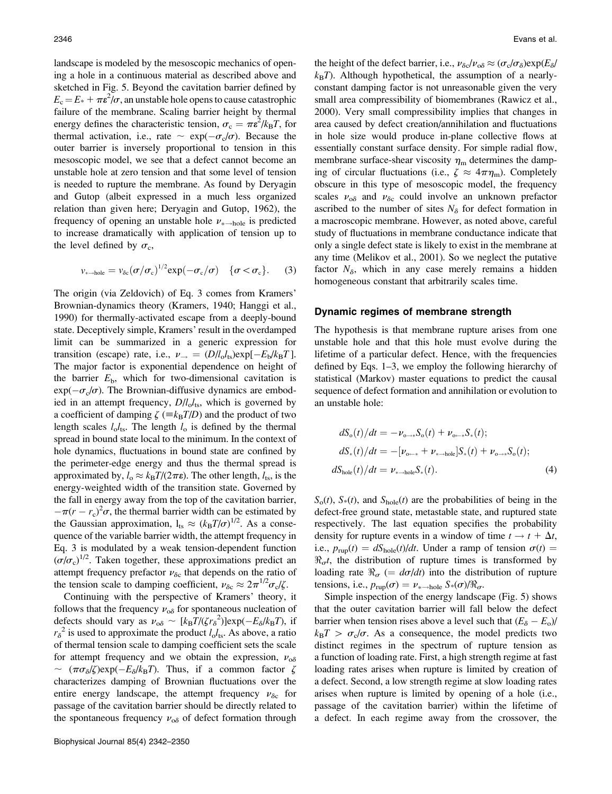landscape is modeled by the mesoscopic mechanics of opening a hole in a continuous material as described above and sketched in Fig. 5. Beyond the cavitation barrier defined by  $E_c = E_* + \pi \epsilon^2 / \sigma$ , an unstable hole opens to cause catastrophic<br>failure of the membrane. Scaling barrier height by thermal failure of the membrane. Scaling barrier height by thermal energy defines the characteristic tension,  $\sigma_c = \pi \epsilon^2 / k_B T$ , for<br>thermal activation i.e., rate  $\approx \exp(-\sigma/\sigma)$ . Because the thermal activation, i.e., rate  $\sim \exp(-\sigma_c/\sigma)$ . Because the outer barrier is inversely proportional to tension in this outer barrier is inversely proportional to tension in this mesoscopic model, we see that a defect cannot become an unstable hole at zero tension and that some level of tension is needed to rupture the membrane. As found by Deryagin and Gutop (albeit expressed in a much less organized relation than given here; Deryagin and Gutop, 1962), the frequency of opening an unstable hole  $\nu_{\ast \rightarrow \text{hole}}$  is predicted to increase dramatically with application of tension up to the level defined by  $\sigma_c$ ,

$$
v_{* \to hole} = v_{\delta c} (\sigma / \sigma_c)^{1/2} \exp(-\sigma_c / \sigma) \quad \{\sigma < \sigma_c\}. \tag{3}
$$

The origin (via Zeldovich) of Eq. 3 comes from Kramers' Brownian-dynamics theory (Kramers, 1940; Hanggi et al., 1990) for thermally-activated escape from a deeply-bound state. Deceptively simple, Kramers' result in the overdamped limit can be summarized in a generic expression for transition (escape) rate, i.e.,  $\nu_{\rightarrow} = (D/l_0 l_{fs}) \exp[-E_b/k_B T]$ .<br>The major factor is exponential dependence on beight of The major factor is exponential dependence on height of the barrier  $E<sub>b</sub>$ , which for two-dimensional cavitation is  $\exp(-\sigma_s/\sigma)$ . The Brownian-diffusive dynamics are embod-<br>ied in an attempt frequency  $D/L$  which is governed by ied in an attempt frequency,  $D/l_o l_{ts}$ , which is governed by a coefficient of damping  $\zeta$  ( $\equiv k_BT/D$ ) and the product of two length scales  $l_0l_{ts}$ . The length  $l_0$  is defined by the thermal spread in bound state local to the minimum. In the context of hole dynamics, fluctuations in bound state are confined by the perimeter-edge energy and thus the thermal spread is approximated by,  $l_0 \approx k_B T/(2\pi\epsilon)$ . The other length,  $l_{ts}$ , is the energy-weighted width of the transition state. Governed by the fall in energy away from the top of the cavitation barrier, the Gaussian approximation,  $l_{ts} \approx (k_B T/\sigma)^{1/2}$ . As a conse-<br>quence of the variable barrier width the attempt frequency in  $\pi (r - r_c)^2 \sigma$ , the thermal barrier width can be estimated by<br>e. Gaussian approximation  $1 \approx (k \tau / \sigma)^{1/2}$ . As a consequence of the variable barrier width, the attempt frequency in Eq. 3 is modulated by a weak tension-dependent function  $(\sigma/\sigma_c)^{1/2}$ . Taken together, these approximations predict an attempt frequency prefactor  $\nu_{\delta c}$  that depends on the ratio of the tension scale to damping coefficient,  $\nu_{\delta c} \approx 2\pi^{1/2}\sigma_c/\zeta$ .

Continuing with the perspective of Kramers' theory, it follows that the frequency  $v_{\alpha\delta}$  for spontaneous nucleation of defects should vary as  $v_{\infty} \sim [k_B T / (\zeta r_\delta^2)] \exp(-E_\delta / k_B T)$ , if  $r^{-2}$  is used to approximate the product  $l \ell$ . As above a ratio  $r_{\delta}^{2}$  is used to approximate the product  $l_{\rm o}l_{\rm ts}$ . As above, a ratio of thermal tension scale to damping coefficient sets the scale for attempt frequency and we obtain the expression,  $v_{\alpha\delta}$  $\sim (\pi \sigma_{\delta}/\zeta) \exp(-E_{\delta}/k_{\rm B}T)$ . Thus, if a common factor  $\zeta$ <br>characterizes damning of Brownian fluctuations over the characterizes damping of Brownian fluctuations over the entire energy landscape, the attempt frequency  $v_{\delta c}$  for passage of the cavitation barrier should be directly related to the spontaneous frequency  $v_{\alpha\delta}$  of defect formation through

the height of the defect barrier, i.e.,  $\nu_{\delta c}/\nu_{\delta} \approx (\sigma_c/\sigma_{\delta})\exp(E_{\delta}/\sigma_{\delta})$  $k_BT$ ). Although hypothetical, the assumption of a nearlyconstant damping factor is not unreasonable given the very small area compressibility of biomembranes (Rawicz et al., 2000). Very small compressibility implies that changes in area caused by defect creation/annihilation and fluctuations in hole size would produce in-plane collective flows at essentially constant surface density. For simple radial flow, membrane surface-shear viscosity  $\eta_{\rm m}$  determines the damping of circular fluctuations (i.e.,  $\zeta \approx 4\pi \eta_m$ ). Completely obscure in this type of mesoscopic model, the frequency scales  $v_{\alpha\delta}$  and  $v_{\delta c}$  could involve an unknown prefactor ascribed to the number of sites  $N_{\delta}$  for defect formation in a macroscopic membrane. However, as noted above, careful study of fluctuations in membrane conductance indicate that only a single defect state is likely to exist in the membrane at any time (Melikov et al., 2001). So we neglect the putative factor  $N_{\delta}$ , which in any case merely remains a hidden homogeneous constant that arbitrarily scales time.

#### Dynamic regimes of membrane strength

The hypothesis is that membrane rupture arises from one unstable hole and that this hole must evolve during the lifetime of a particular defect. Hence, with the frequencies defined by Eqs. 1–3, we employ the following hierarchy of statistical (Markov) master equations to predict the causal sequence of defect formation and annihilation or evolution to an unstable hole:

$$
dS_{o}(t)/dt = -\nu_{o \to *} S_{o}(t) + \nu_{o \to *} S_{*}(t);
$$
  
\n
$$
dS_{*}(t)/dt = -[\nu_{o \to *} + \nu_{* \to hole}]S_{*}(t) + \nu_{o \to *} S_{o}(t);
$$
  
\n
$$
dS_{hole}(t)/dt = \nu_{* \to hole} S_{*}(t).
$$
\n(4)

 $S<sub>o</sub>(t)$ ,  $S<sub>*</sub>(t)$ , and  $S<sub>hole</sub>(t)$  are the probabilities of being in the defect-free ground state, metastable state, and ruptured state respectively. The last equation specifies the probability density for rupture events in a window of time  $t \to t + \Delta t$ , i.e.,  $p_{\text{rup}}(t) = dS_{\text{hole}}(t)/dt$ . Under a ramp of tension  $\sigma(t) =$  $\Re_{\sigma}t$ , the distribution of rupture times is transformed by loading rate  $\Re_{\sigma}$  (=  $d\sigma/dt$ ) into the distribution of rupture tensions, i.e.,  $p_{\text{rup}}(\sigma) = \nu_{* \to \text{hole}} S_*(\sigma)/\Re_{\sigma}$ .

Simple inspection of the energy landscape (Fig. 5) shows that the outer cavitation barrier will fall below the defect barrier when tension rises above a level such that  $(E_{\delta} - E_{\delta})/E_{\delta}$ <br> $E_{\delta} = E_{\delta} / E_{\delta}$ . As a consequence, the model predicts two  $k_{\rm B}T > \sigma_{\rm c}/\sigma$ . As a consequence, the model predicts two distinct regimes in the spectrum of rupture tension as a function of loading rate. First, a high strength regime at fast loading rates arises when rupture is limited by creation of a defect. Second, a low strength regime at slow loading rates arises when rupture is limited by opening of a hole (i.e., passage of the cavitation barrier) within the lifetime of a defect. In each regime away from the crossover, the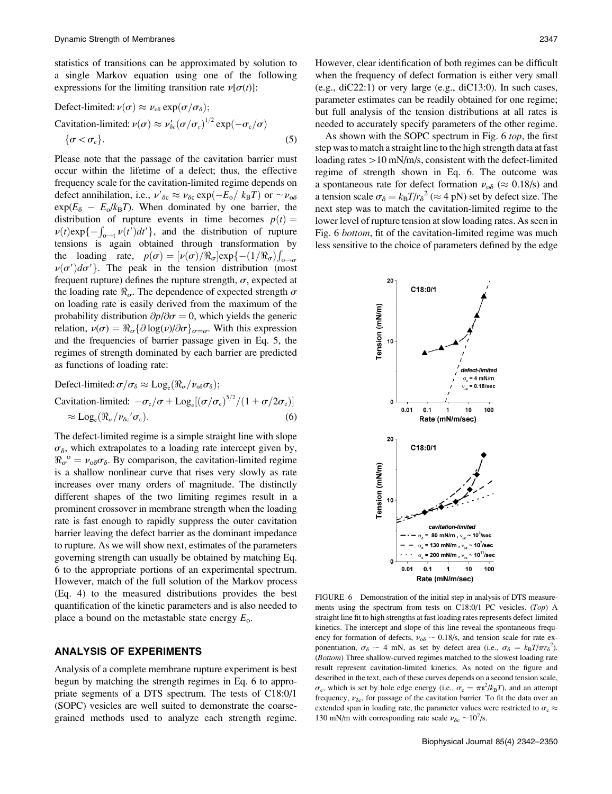statistics of transitions can be approximated by solution to a single Markov equation using one of the following expressions for the limiting transition rate  $\nu[\sigma(t)]$ :

$$
\begin{aligned} \text{Defect-limited: } & \nu(\sigma) \approx \nu_{\text{ob}} \exp(\sigma/\sigma_{\text{a}});\\ \text{Cavitation-limited: } & \nu(\sigma) \approx \nu_{\text{oc}}'(\sigma/\sigma_{\text{c}})^{1/2} \exp(-\sigma_{\text{c}}/\sigma) \\ & \{\sigma < \sigma_{\text{c}}\}. \end{aligned} \tag{5}
$$

Please note that the passage of the cavitation barrier must occur within the lifetime of a defect; thus, the effective frequency scale for the cavitation-limited regime depends on defect annihilation, i.e.,  $v'_{\delta c} \approx v_{\delta c} \exp(-E_0 / k_B T)$  or  $\sim v_{\delta \delta}$ <br>exp( $E_0 = E/k_B T$ ). When dominated by one barrier, the  $\exp(E_{\delta} - E_0/k_B T)$ . When dominated by one barrier, the distribution of nupture events in time becomes  $p(t)$ distribution of rupture events in time becomes  $p(t) =$  $\nu(t) \exp\{-\int_{0-t} \nu(t')dt'\}$ , and the distribution of rupture<br>tensions is again obtained through transformation by tensions is again obtained through transformation by the loading rate,  $p(\sigma) = [\nu(\sigma)/\Re_{\sigma}] \exp\{-(1/\Re_{\sigma})f\}$ <br> $\nu(\sigma)/d\sigma'$ . The peak in the tension distribution (reine ioading rate,  $p(\sigma) = [p(\sigma)/\pi_{\sigma}]exp(-1/\pi_{\sigma})]_{0\to\sigma}$ <br>  $p(\sigma')d\sigma'$ . The peak in the tension distribution (most frequent rupture) defines the rupture strength,  $\sigma$ , expected at the loading rate  $\Re_{\sigma}$ . The dependence of expected strength  $\sigma$ on loading rate is easily derived from the maximum of the probability distribution  $\partial p/\partial \sigma = 0$ , which yields the generic relation,  $\nu(\sigma) = \Re_{\sigma} {\partial \log(\nu) / \partial \sigma}_{\sigma=\sigma}$ . With this expression and the frequencies of barrier passage given in Eq. 5, the regimes of strength dominated by each barrier are predicted as functions of loading rate:

$$
\begin{aligned} \text{Defect-limited: } & \sigma/\sigma_{\delta} \approx \text{Log}_{\text{e}}(\Re_{\sigma}/\nu_{\text{o}\delta}\sigma_{\delta});\\ \text{Cavitation-limited: } & -\sigma_{\text{c}}/\sigma + \text{Log}_{\text{e}}[(\sigma/\sigma_{\text{c}})^{5/2}/(1+\sigma/2\sigma_{\text{c}})]\\ & \approx \text{Log}_{\text{e}}(\Re_{\sigma}/\nu_{\delta\text{c}}'\sigma_{\text{c}}). \end{aligned} \tag{6}
$$

The defect-limited regime is a simple straight line with slope  $\sigma_{\delta}$ , which extrapolates to a loading rate intercept given by,  $\Re_{\sigma}^{\circ} = \nu_{\circ} \sigma_{\delta}$ . By comparison, the cavitation-limited regime is a shallow nonlinear curve that rises very slowly as rate is a shallow nonlinear curve that rises very slowly as rate increases over many orders of magnitude. The distinctly different shapes of the two limiting regimes result in a prominent crossover in membrane strength when the loading rate is fast enough to rapidly suppress the outer cavitation barrier leaving the defect barrier as the dominant impedance to rupture. As we will show next, estimates of the parameters governing strength can usually be obtained by matching Eq. 6 to the appropriate portions of an experimental spectrum. However, match of the full solution of the Markov process (Eq. 4) to the measured distributions provides the best quantification of the kinetic parameters and is also needed to place a bound on the metastable state energy  $E_{\rm o}$ .

# ANALYSIS OF EXPERIMENTS

Analysis of a complete membrane rupture experiment is best begun by matching the strength regimes in Eq. 6 to appropriate segments of a DTS spectrum. The tests of C18:0/1 (SOPC) vesicles are well suited to demonstrate the coarsegrained methods used to analyze each strength regime. However, clear identification of both regimes can be difficult when the frequency of defect formation is either very small (e.g., diC22:1) or very large (e.g., diC13:0). In such cases, parameter estimates can be readily obtained for one regime; but full analysis of the tension distributions at all rates is needed to accurately specify parameters of the other regime.

As shown with the SOPC spectrum in Fig. 6 top, the first step was to match a straight line to the high strength data at fast loading rates  $>10$  mN/m/s, consistent with the defect-limited regime of strength shown in Eq. 6. The outcome was a spontaneous rate for defect formation  $\nu_{\rm o\delta} \approx 0.18/\rm s$ ) and a tension scale  $\sigma_{\delta} = k_{\rm B}T/r_{\delta}^2 \approx 4$  pN) set by defect size. The next step was to match the cavitation-limited regime to the next step was to match the cavitation-limited regime to the lower level of rupture tension at slow loading rates. As seen in Fig. 6 bottom, fit of the cavitation-limited regime was much less sensitive to the choice of parameters defined by the edge



FIGURE 6 Demonstration of the initial step in analysis of DTS measurements using the spectrum from tests on C18:0/1 PC vesicles. (Top) A straight line fit to high strengths at fast loading rates represents defect-limited kinetics. The intercept and slope of this line reveal the spontaneous frequency for formation of defects,  $v_{\alpha\delta} \sim 0.18/s$ , and tension scale for rate exponentiation,  $\sigma_{\delta} \sim 4$  mN, as set by defect area (i.e.,  $\sigma_{\delta} = k_B T / \pi r_{\delta}^2$ ).<br>(*Bottom*) Three shallow curved regimes matched to the slowest looding rate (Bottom) Three shallow-curved regimes matched to the slowest loading rate result represent cavitation-limited kinetics. As noted on the figure and described in the text, each of these curves depends on a second tension scale,  $\sigma_c$ , which is set by hole edge energy (i.e.,  $\sigma_c = \pi \epsilon^2 / k_B T$ ), and an attempt<br>frequency  $\mu_c$ , for passage of the covitation begins To fit the data over an frequency,  $v_{\delta c}$ , for passage of the cavitation barrier. To fit the data over an extended span in loading rate, the parameter values were restricted to  $\sigma_c \approx$ 130 mN/m with corresponding rate scale  $v_{\delta c} \sim 10^7$ /s.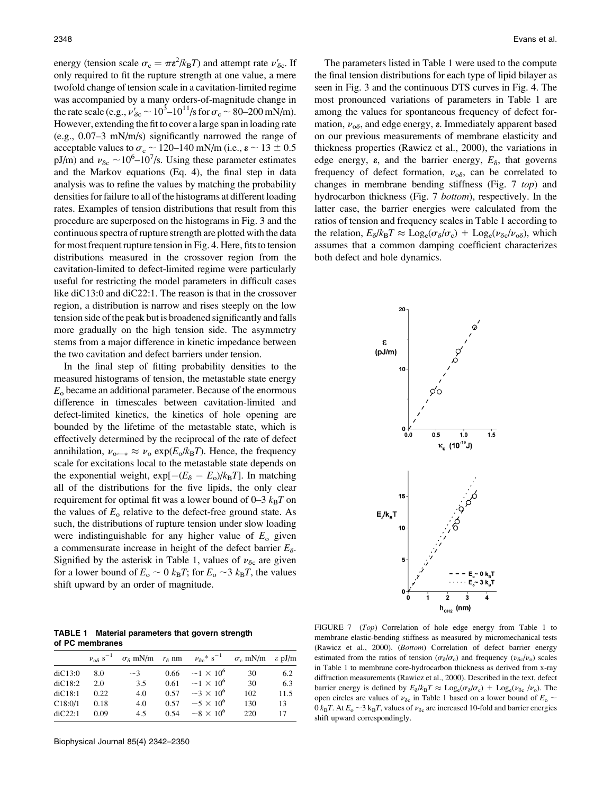energy (tension scale  $\sigma_c = \pi \epsilon^2 / k_B T$ ) and attempt rate  $\nu'_{\delta c}$ . If only required to fit the rupture strength at one value, a mere twofold change of tension scale in a cavitation-limited regime was accompanied by a many orders-of-magnitude change in the rate scale (e.g.,  $v'_{\delta c} \sim 10^3 - 10^{11} / \text{s}$  for  $\sigma_c \sim 80 - 200 \text{ mN/m}$ ). However, extending the fit to cover a large span in loading rate (e.g., 0.07–3 mN/m/s) significantly narrowed the range of acceptable values to  $\sigma_c \sim 120-140$  mN/m (i.e.,  $\epsilon \sim 13 \pm 0.5$ pJ/m) and  $\nu_{\delta c} \sim 10^6 - 10^7$ /s. Using these parameter estimates and the Markov equations (Eq. 4), the final step in data analysis was to refine the values by matching the probability densities for failure to all of the histograms at different loading rates. Examples of tension distributions that result from this procedure are superposed on the histograms in Fig. 3 and the continuous spectra of rupture strength are plotted with the data for most frequent rupture tension in Fig. 4. Here, fits to tension distributions measured in the crossover region from the cavitation-limited to defect-limited regime were particularly useful for restricting the model parameters in difficult cases like diC13:0 and diC22:1. The reason is that in the crossover region, a distribution is narrow and rises steeply on the low tension side of the peak but is broadened significantly and falls more gradually on the high tension side. The asymmetry stems from a major difference in kinetic impedance between the two cavitation and defect barriers under tension.

In the final step of fitting probability densities to the measured histograms of tension, the metastable state energy  $E<sub>o</sub>$  became an additional parameter. Because of the enormous difference in timescales between cavitation-limited and defect-limited kinetics, the kinetics of hole opening are bounded by the lifetime of the metastable state, which is effectively determined by the reciprocal of the rate of defect annihilation,  $\nu_{o \leftarrow *} \approx \nu_o \exp(E_o / k_B T)$ . Hence, the frequency scale for excitations local to the metastable state depends on the exponential weight,  $\exp[-(E_{\delta} - E_0)/k_B T]$ . In matching<br>all of the distributions for the five linids, the only clear all of the distributions for the five lipids, the only clear requirement for optimal fit was a lower bound of  $0-3$   $k_BT$  on the values of  $E_0$  relative to the defect-free ground state. As such, the distributions of rupture tension under slow loading were indistinguishable for any higher value of  $E_0$  given a commensurate increase in height of the defect barrier  $E_{\delta}$ . Signified by the asterisk in Table 1, values of  $v_{\delta c}$  are given for a lower bound of  $E_0 \sim 0$   $k_B T$ ; for  $E_0 \sim 3$   $k_B T$ , the values shift upward by an order of magnitude.

TABLE 1 Material parameters that govern strength of PC membranes

|         |      |          |      | $v_{\infty}$ s <sup>-1</sup> $\sigma_{\delta}$ mN/m $r_{\delta}$ nm $v_{\delta}$ c* s <sup>-1</sup> $\sigma_{\rm c}$ mN/m $\varepsilon$ pJ/m |     |      |
|---------|------|----------|------|----------------------------------------------------------------------------------------------------------------------------------------------|-----|------|
| diC13:0 | 8.0  | $\sim$ 3 |      | $0.66 \sim 1 \times 10^6$                                                                                                                    | 30  | 6.2  |
| diC18:2 | 2.0  | 3.5      |      | $0.61 \sim 1 \times 10^6$                                                                                                                    | 30  | 6.3  |
| diC18:1 | 0.22 | 4.0      | 0.57 | $\sim$ 3 $\times$ 10 <sup>6</sup>                                                                                                            | 102 | 11.5 |
| C18:0/1 | 0.18 | 4.0      | 0.57 | $\sim$ 5 $\times$ 10 <sup>6</sup>                                                                                                            | 130 | 13   |
| diC22:1 | 0.09 | 4.5      |      | $0.54 \sim 8 \times 10^6$                                                                                                                    | 220 | 17   |

The parameters listed in Table 1 were used to the compute the final tension distributions for each type of lipid bilayer as seen in Fig. 3 and the continuous DTS curves in Fig. 4. The most pronounced variations of parameters in Table 1 are among the values for spontaneous frequency of defect formation,  $\nu_{\alpha\delta}$ , and edge energy,  $\varepsilon$ . Immediately apparent based on our previous measurements of membrane elasticity and thickness properties (Rawicz et al., 2000), the variations in edge energy,  $\varepsilon$ , and the barrier energy,  $E_{\delta}$ , that governs frequency of defect formation,  $v_{\alpha\delta}$ , can be correlated to changes in membrane bending stiffness (Fig. 7 top) and hydrocarbon thickness (Fig. 7 bottom), respectively. In the latter case, the barrier energies were calculated from the ratios of tension and frequency scales in Table 1 according to the relation,  $E_{\delta}/k_{\rm B}T \approx \text{Log}_{\rm e}(\sigma_{\delta}/\sigma_{\rm c}) + \text{Log}_{\rm e}(\nu_{\delta c}/\nu_{\rm o\delta})$ , which assumes that a common damping coefficient characterizes both defect and hole dynamics.



FIGURE 7 (Top) Correlation of hole edge energy from Table 1 to membrane elastic-bending stiffness as measured by micromechanical tests (Rawicz et al., 2000). (Bottom) Correlation of defect barrier energy estimated from the ratios of tension ( $\sigma_{\delta}/\sigma_{c}$ ) and frequency ( $\nu_{\delta c}/\nu_{o}$ ) scales in Table 1 to membrane core-hydrocarbon thickness as derived from x-ray diffraction measurements (Rawicz et al., 2000). Described in the text, defect barrier energy is defined by  $E_8/k_BT \approx \text{Log}_e(\sigma_8/\sigma_c) + \text{Log}_e(\nu_{\delta c}/\nu_o)$ . The open circles are values of  $v_{\delta c}$  in Table 1 based on a lower bound of  $E_0 \sim$ 0  $k_BT$ . At  $E_o \sim 3 k_BT$ , values of  $\nu_{\delta c}$  are increased 10-fold and barrier energies shift upward correspondingly.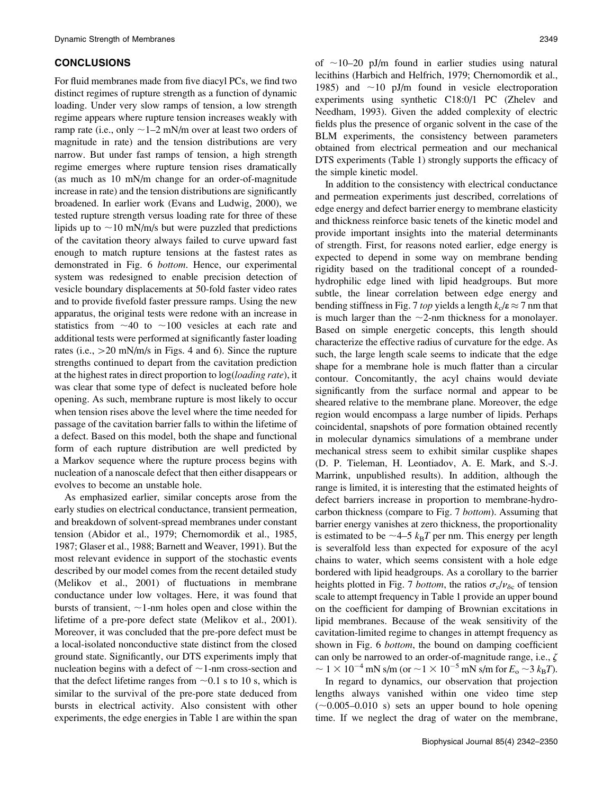## CONCLUSIONS

For fluid membranes made from five diacyl PCs, we find two distinct regimes of rupture strength as a function of dynamic loading. Under very slow ramps of tension, a low strength regime appears where rupture tension increases weakly with ramp rate (i.e., only  $\sim$  1–2 mN/m over at least two orders of magnitude in rate) and the tension distributions are very narrow. But under fast ramps of tension, a high strength regime emerges where rupture tension rises dramatically (as much as 10 mN/m change for an order-of-magnitude increase in rate) and the tension distributions are significantly broadened. In earlier work (Evans and Ludwig, 2000), we tested rupture strength versus loading rate for three of these lipids up to  $\sim$ 10 mN/m/s but were puzzled that predictions of the cavitation theory always failed to curve upward fast enough to match rupture tensions at the fastest rates as demonstrated in Fig. 6 bottom. Hence, our experimental system was redesigned to enable precision detection of vesicle boundary displacements at 50-fold faster video rates and to provide fivefold faster pressure ramps. Using the new apparatus, the original tests were redone with an increase in statistics from  $\sim$ 40 to  $\sim$ 100 vesicles at each rate and additional tests were performed at significantly faster loading rates (i.e.,  $>$  20 mN/m/s in Figs. 4 and 6). Since the rupture strengths continued to depart from the cavitation prediction at the highest rates in direct proportion to  $log(log{d}$  rate), it was clear that some type of defect is nucleated before hole opening. As such, membrane rupture is most likely to occur when tension rises above the level where the time needed for passage of the cavitation barrier falls to within the lifetime of a defect. Based on this model, both the shape and functional form of each rupture distribution are well predicted by a Markov sequence where the rupture process begins with nucleation of a nanoscale defect that then either disappears or evolves to become an unstable hole.

As emphasized earlier, similar concepts arose from the early studies on electrical conductance, transient permeation, and breakdown of solvent-spread membranes under constant tension (Abidor et al., 1979; Chernomordik et al., 1985, 1987; Glaser et al., 1988; Barnett and Weaver, 1991). But the most relevant evidence in support of the stochastic events described by our model comes from the recent detailed study (Melikov et al., 2001) of fluctuations in membrane conductance under low voltages. Here, it was found that bursts of transient,  $\sim$ 1-nm holes open and close within the lifetime of a pre-pore defect state (Melikov et al., 2001). Moreover, it was concluded that the pre-pore defect must be a local-isolated nonconductive state distinct from the closed ground state. Significantly, our DTS experiments imply that nucleation begins with a defect of  $\sim$ 1-nm cross-section and that the defect lifetime ranges from  $\sim 0.1$  s to 10 s, which is similar to the survival of the pre-pore state deduced from bursts in electrical activity. Also consistent with other experiments, the edge energies in Table 1 are within the span of  $\sim$ 10–20 pJ/m found in earlier studies using natural lecithins (Harbich and Helfrich, 1979; Chernomordik et al., 1985) and  $\sim$ 10 pJ/m found in vesicle electroporation experiments using synthetic C18:0/1 PC (Zhelev and Needham, 1993). Given the added complexity of electric fields plus the presence of organic solvent in the case of the BLM experiments, the consistency between parameters obtained from electrical permeation and our mechanical DTS experiments (Table 1) strongly supports the efficacy of the simple kinetic model.

In addition to the consistency with electrical conductance and permeation experiments just described, correlations of edge energy and defect barrier energy to membrane elasticity and thickness reinforce basic tenets of the kinetic model and provide important insights into the material determinants of strength. First, for reasons noted earlier, edge energy is expected to depend in some way on membrane bending rigidity based on the traditional concept of a roundedhydrophilic edge lined with lipid headgroups. But more subtle, the linear correlation between edge energy and bending stiffness in Fig. 7 *top* yields a length  $k_c/\epsilon \approx 7$  nm that is much larger than the  $\sim$ 2-nm thickness for a monolayer. Based on simple energetic concepts, this length should characterize the effective radius of curvature for the edge. As such, the large length scale seems to indicate that the edge shape for a membrane hole is much flatter than a circular contour. Concomitantly, the acyl chains would deviate significantly from the surface normal and appear to be sheared relative to the membrane plane. Moreover, the edge region would encompass a large number of lipids. Perhaps coincidental, snapshots of pore formation obtained recently in molecular dynamics simulations of a membrane under mechanical stress seem to exhibit similar cusplike shapes (D. P. Tieleman, H. Leontiadov, A. E. Mark, and S.-J. Marrink, unpublished results). In addition, although the range is limited, it is interesting that the estimated heights of defect barriers increase in proportion to membrane-hydrocarbon thickness (compare to Fig. 7 bottom). Assuming that barrier energy vanishes at zero thickness, the proportionality is estimated to be  $\sim$  4–5  $k_BT$  per nm. This energy per length is severalfold less than expected for exposure of the acyl chains to water, which seems consistent with a hole edge bordered with lipid headgroups. As a corollary to the barrier heights plotted in Fig. 7 bottom, the ratios  $\sigma_c/v_{\delta c}$  of tension scale to attempt frequency in Table 1 provide an upper bound on the coefficient for damping of Brownian excitations in lipid membranes. Because of the weak sensitivity of the cavitation-limited regime to changes in attempt frequency as shown in Fig. 6 *bottom*, the bound on damping coefficient can only be narrowed to an order-of-magnitude range, i.e.,  $\zeta$  $\sim 1 \times 10^{-4}$  mN s/m (or  $\sim$ 1  $\times$  10<sup>-5</sup> mN s/m for  $E_{\rm o}$   $\sim$ 3  $k_{\rm B}T$ ).

In regard to dynamics, our observation that projection lengths always vanished within one video time step  $(\sim 0.005 - 0.010 \text{ s})$  sets an upper bound to hole opening time. If we neglect the drag of water on the membrane,